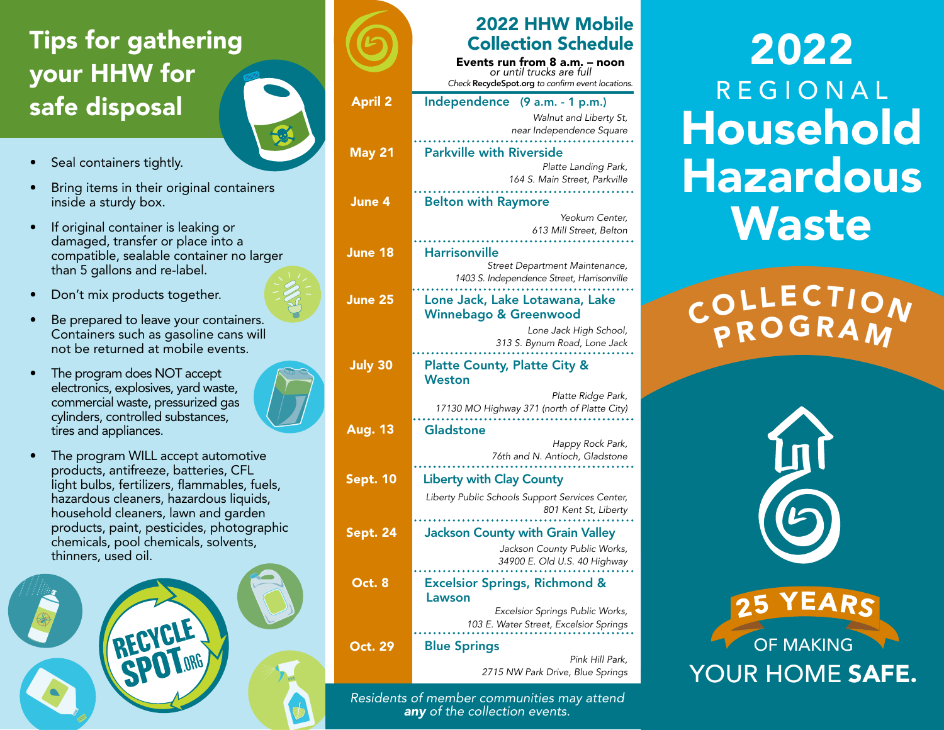## Tips for gathering your HHW for safe disposal

- Seal containers tightly.
- Bring items in their original containers inside a sturdy box.
- If original container is leaking or damaged, transfer or place into a compatible, sealable container no larger than 5 gallons and re-label.
- Don't mix products together.
- Be prepared to leave your containers. Containers such as gasoline cans will not be returned at mobile events.
- The program does NOT accept electronics, explosives, yard waste, commercial waste, pressurized gas cylinders, controlled substances, tires and appliances.
- The program WILL accept automotive products, antifreeze, batteries, CFL light bulbs, fertilizers, flammables, fuels, hazardous cleaners, hazardous liquids, household cleaners, lawn and garden products, paint, pesticides, photographic chemicals, pool chemicals, solvents, thinners, used oil.



|                 | <b>2022 HHW Mobile</b>                                       |
|-----------------|--------------------------------------------------------------|
|                 | <b>Collection Schedule</b>                                   |
|                 | Events run from 8 a.m. – noon<br>or until trucks are full    |
|                 | Check RecycleSpot.org to confirm event locations.            |
| <b>April 2</b>  | Independence (9 a.m. - 1 p.m.)                               |
|                 | Walnut and Liberty St,<br>near Independence Square           |
|                 |                                                              |
| <b>May 21</b>   | <b>Parkville with Riverside</b><br>Platte Landing Park,      |
|                 | 164 S. Main Street, Parkville                                |
| June 4          | <b>Belton with Raymore</b>                                   |
|                 | Yeokum Center,                                               |
|                 | 613 Mill Street, Belton                                      |
| June 18         | <b>Harrisonville</b><br>Street Department Maintenance,       |
|                 | 1403 S. Independence Street, Harrisonville                   |
| June 25         | Lone Jack, Lake Lotawana, Lake                               |
|                 | <b>Winnebago &amp; Greenwood</b>                             |
|                 | Lone Jack High School,<br>313 S. Bynum Road, Lone Jack       |
| <b>July 30</b>  | <b>Platte County, Platte City &amp;</b>                      |
|                 | <b>Weston</b>                                                |
|                 | Platte Ridge Park,                                           |
|                 | 17130 MO Highway 371 (north of Platte City)                  |
| <b>Aug. 13</b>  | <b>Gladstone</b><br>Happy Rock Park,                         |
|                 | 76th and N. Antioch, Gladstone                               |
| Sept. 10        | <b>Liberty with Clay County</b>                              |
|                 | Liberty Public Schools Support Services Center,              |
|                 | 801 Kent St, Liberty                                         |
| <b>Sept. 24</b> | <b>Jackson County with Grain Valley</b>                      |
|                 | Jackson County Public Works,<br>34900 E. Old U.S. 40 Highway |
| Oct. 8          |                                                              |
|                 | <b>Excelsior Springs, Richmond &amp;</b><br>Lawson           |
|                 | Excelsior Springs Public Works,                              |
|                 | 103 E. Water Street, Excelsior Springs                       |
| Oct. 29         | <b>Blue Springs</b><br>Pink Hill Park,                       |
|                 | 2715 NW Park Drive, Blue Springs                             |

*Residents of member communities may attend any of the collection events.*

# 2022 REGIONAL Household Hazardous **Waste**

**PROGRAM** COLLECTION